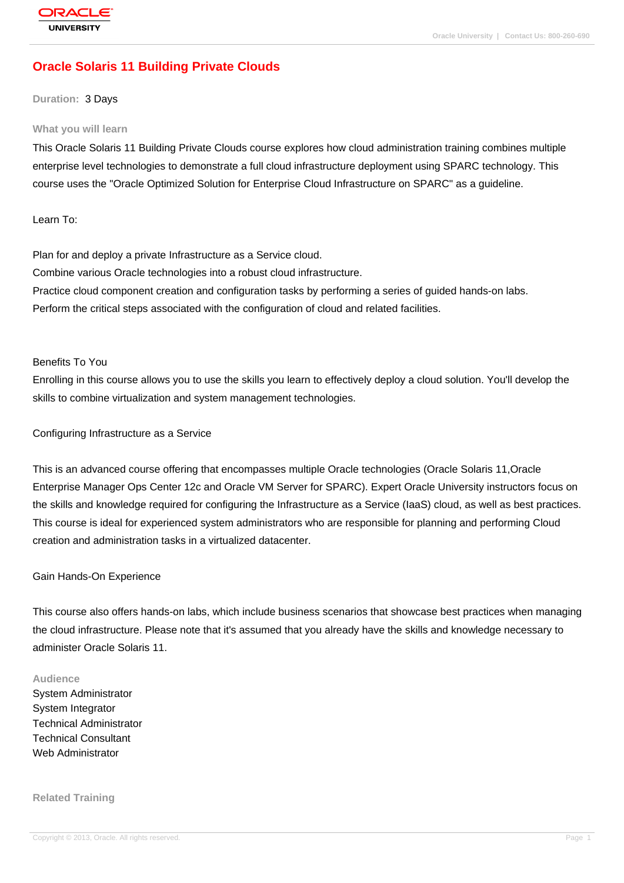# **[Oracle Solaris](http://education.oracle.com/pls/web_prod-plq-dad/db_pages.getpage?page_id=3) 11 Building Private Clouds**

#### **Duration:** 3 Days

#### **What you will learn**

This Oracle Solaris 11 Building Private Clouds course explores how cloud administration training combines multiple enterprise level technologies to demonstrate a full cloud infrastructure deployment using SPARC technology. This course uses the "Oracle Optimized Solution for Enterprise Cloud Infrastructure on SPARC" as a guideline.

Learn To:

Plan for and deploy a private Infrastructure as a Service cloud. Combine various Oracle technologies into a robust cloud infrastructure. Practice cloud component creation and configuration tasks by performing a series of guided hands-on labs. Perform the critical steps associated with the configuration of cloud and related facilities.

#### Benefits To You

Enrolling in this course allows you to use the skills you learn to effectively deploy a cloud solution. You'll develop the skills to combine virtualization and system management technologies.

Configuring Infrastructure as a Service

This is an advanced course offering that encompasses multiple Oracle technologies (Oracle Solaris 11,Oracle Enterprise Manager Ops Center 12c and Oracle VM Server for SPARC). Expert Oracle University instructors focus on the skills and knowledge required for configuring the Infrastructure as a Service (IaaS) cloud, as well as best practices. This course is ideal for experienced system administrators who are responsible for planning and performing Cloud creation and administration tasks in a virtualized datacenter.

#### Gain Hands-On Experience

This course also offers hands-on labs, which include business scenarios that showcase best practices when managing the cloud infrastructure. Please note that it's assumed that you already have the skills and knowledge necessary to administer Oracle Solaris 11.

#### **Audience**

System Administrator System Integrator Technical Administrator Technical Consultant Web Administrator

**Related Training**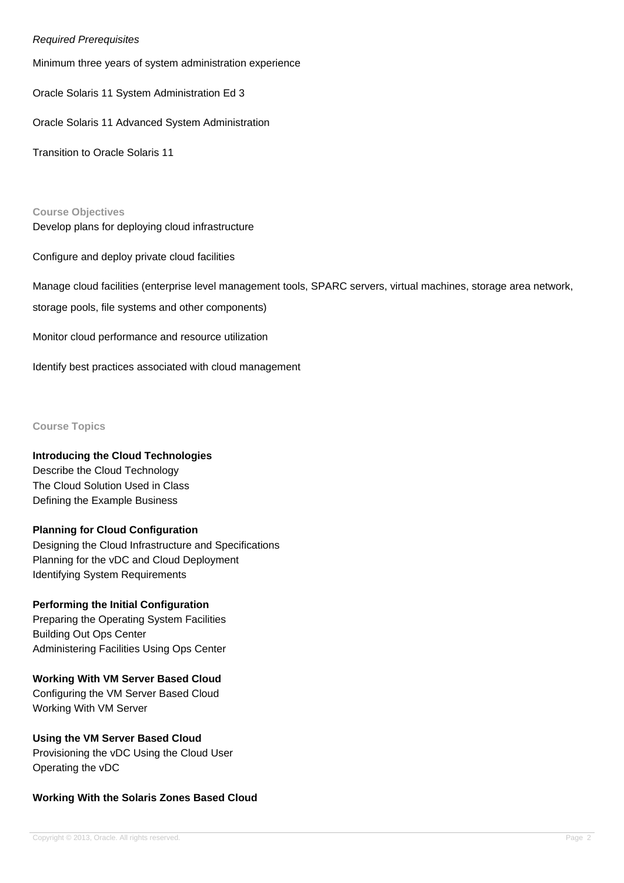### Required Prerequisites

Minimum three years of system administration experience

Oracle Solaris 11 System Administration Ed 3

Oracle Solaris 11 Advanced System Administration

Transition to Oracle Solaris 11

**Course Objectives** Develop plans for deploying cloud infrastructure

Configure and deploy private cloud facilities

Manage cloud facilities (enterprise level management tools, SPARC servers, virtual machines, storage area network, storage pools, file systems and other components)

Monitor cloud performance and resource utilization

Identify best practices associated with cloud management

#### **Course Topics**

### **Introducing the Cloud Technologies**

Describe the Cloud Technology The Cloud Solution Used in Class Defining the Example Business

### **Planning for Cloud Configuration**

Designing the Cloud Infrastructure and Specifications Planning for the vDC and Cloud Deployment Identifying System Requirements

### **Performing the Initial Configuration**

Preparing the Operating System Facilities Building Out Ops Center Administering Facilities Using Ops Center

### **Working With VM Server Based Cloud**

Configuring the VM Server Based Cloud Working With VM Server

### **Using the VM Server Based Cloud**

Provisioning the vDC Using the Cloud User Operating the vDC

### **Working With the Solaris Zones Based Cloud**